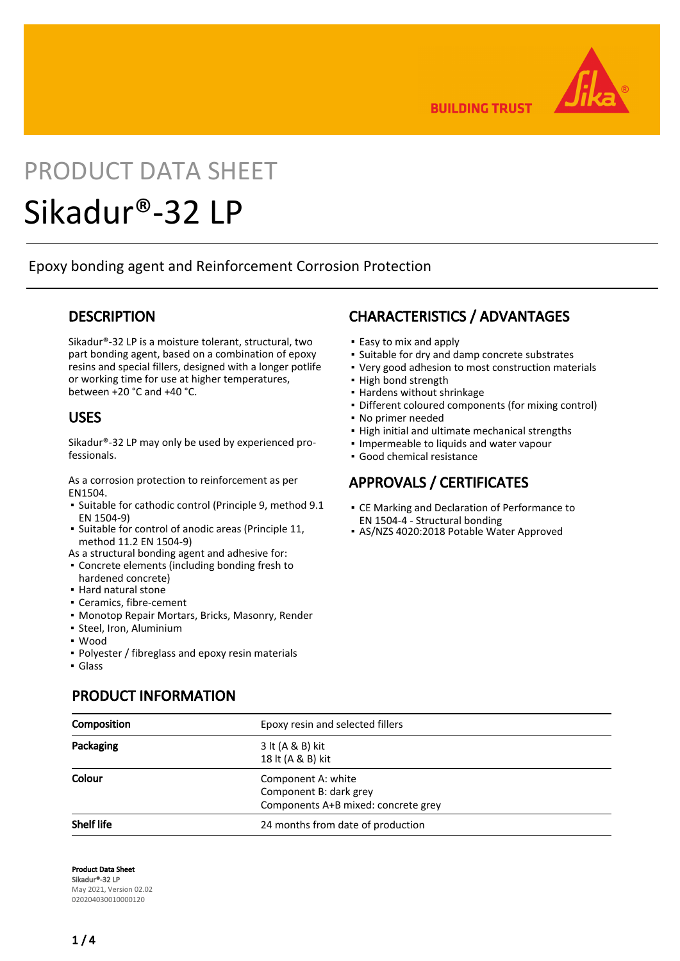

**BUILDING TRUST** 

# PRODUCT DATA SHEET

## Sikadur®-32 LP

Epoxy bonding agent and Reinforcement Corrosion Protection

#### **DESCRIPTION**

Sikadur®-32 LP is a moisture tolerant, structural, two part bonding agent, based on a combination of epoxy resins and special fillers, designed with a longer potlife or working time for use at higher temperatures, between +20 °C and +40 °C.

#### USES

Sikadur®-32 LP may only be used by experienced professionals.

As a corrosion protection to reinforcement as per EN1504.

- **·** Suitable for cathodic control (Principle 9, method 9.1 EN 1504-9)
- **E** Suitable for control of anodic areas (Principle 11, method 11.2 EN 1504-9)
- As a structural bonding agent and adhesive for:
- Concrete elements (including bonding fresh to hardened concrete)
- Hard natural stone
- Ceramics, fibre-cement
- Monotop Repair Mortars, Bricks, Masonry, Render
- Steel, Iron, Aluminium

PRODUCT INFORMATION

- Wood
- Polyester / fibreglass and epoxy resin materials
- Glass

## CHARACTERISTICS / ADVANTAGES

- Easy to mix and apply
- Suitable for dry and damp concrete substrates
- Very good adhesion to most construction materials
- High bond strength
- Hardens without shrinkage
- Different coloured components (for mixing control)
- No primer needed
- **.** High initial and ultimate mechanical strengths
- Impermeable to liquids and water vapour
- Good chemical resistance

#### APPROVALS / CERTIFICATES

- **CE Marking and Declaration of Performance to** EN 1504-4 - Structural bonding
- AS/NZS 4020:2018 Potable Water Approved

| Composition       | Epoxy resin and selected fillers    |  |
|-------------------|-------------------------------------|--|
| Packaging         | 3 lt (A & B) kit                    |  |
|                   | 18 lt (A & B) kit                   |  |
| Colour            | Component A: white                  |  |
|                   | Component B: dark grey              |  |
|                   | Components A+B mixed: concrete grey |  |
| <b>Shelf life</b> | 24 months from date of production   |  |

Product Data Sheet Sikadur®-32 LP May 2021, Version 02.02 020204030010000120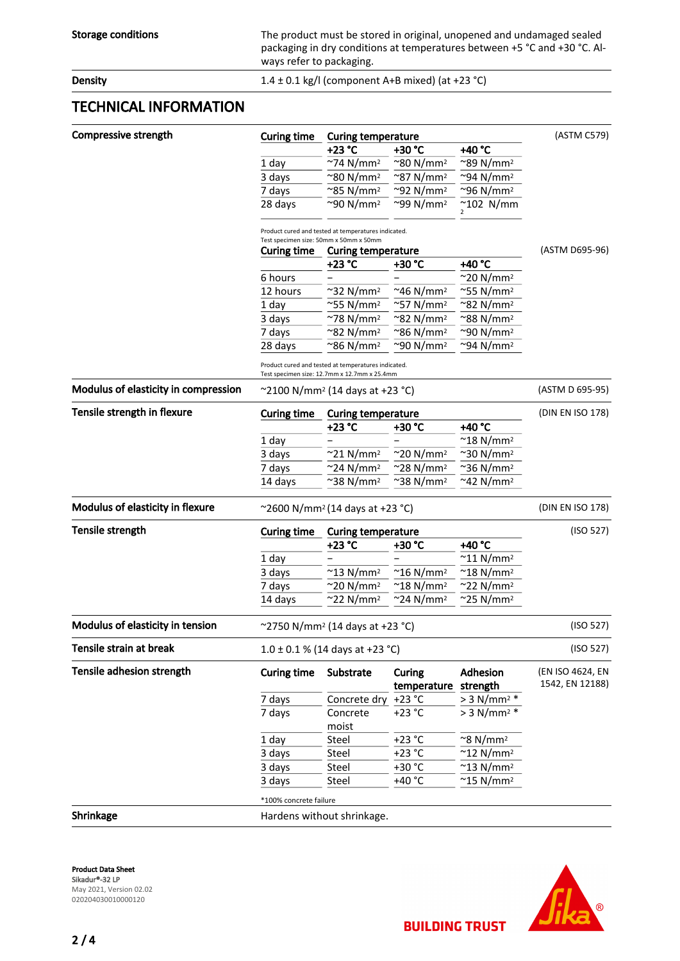Storage conditions The product must be stored in original, unopened and undamaged sealed packaging in dry conditions at temperatures between +5 °C and +30 °C. Always refer to packaging.

**Density Density** 1.4  $\pm$  0.1 kg/l (component A+B mixed) (at +23 °C)

#### TECHNICAL INFORMATION

| <b>Compressive strength</b>             | <b>Curing time</b>                                                                                  | <b>Curing temperature</b>      |                                |                                 |                                     |  |
|-----------------------------------------|-----------------------------------------------------------------------------------------------------|--------------------------------|--------------------------------|---------------------------------|-------------------------------------|--|
|                                         |                                                                                                     | +23 °C                         | +30 °C                         | +40 °C                          | (ASTM C579)                         |  |
|                                         | 1 day                                                                                               | $~\gamma$ 74 N/mm <sup>2</sup> | ~80 N/mm <sup>2</sup>          | $^{\sim}$ 89 N/mm <sup>2</sup>  |                                     |  |
|                                         | 3 days                                                                                              | $^{\sim}$ 80 N/mm <sup>2</sup> | $^{\sim}$ 87 N/mm <sup>2</sup> | $\sim$ 94 N/mm <sup>2</sup>     |                                     |  |
|                                         | 7 days                                                                                              | $^{\sim}$ 85 N/mm <sup>2</sup> | $^{\sim}$ 92 N/mm <sup>2</sup> | $\sim$ 96 N/mm <sup>2</sup>     |                                     |  |
|                                         | 28 days                                                                                             | $\sim$ 90 N/mm <sup>2</sup>    | $\sim$ 99 N/mm <sup>2</sup>    | $^{\sim}$ 102 N/mm              |                                     |  |
|                                         | Product cured and tested at temperatures indicated.<br>Test specimen size: 50mm x 50mm x 50mm       |                                |                                |                                 |                                     |  |
|                                         | <b>Curing time</b>                                                                                  | <b>Curing temperature</b>      |                                |                                 | (ASTM D695-96)                      |  |
|                                         |                                                                                                     | +23 °C                         | +30 °C                         | +40 °C                          |                                     |  |
|                                         | 6 hours                                                                                             |                                |                                | $\approx$ 20 N/mm <sup>2</sup>  |                                     |  |
|                                         | 12 hours                                                                                            | $\sim$ 32 N/mm <sup>2</sup>    | ~46 N/mm <sup>2</sup>          | $^{\sim}$ 55 N/mm <sup>2</sup>  |                                     |  |
|                                         | 1 day                                                                                               | $^{\sim}$ 55 N/mm <sup>2</sup> | $^{\sim}$ 57 N/mm <sup>2</sup> | ~82 N/mm <sup>2</sup>           |                                     |  |
|                                         | 3 days                                                                                              | $~278$ N/mm <sup>2</sup>       | ~82 N/mm <sup>2</sup>          | ~88 N/mm²                       |                                     |  |
|                                         | 7 days                                                                                              | $^{\sim}$ 82 N/mm <sup>2</sup> | ~86 N/mm²                      | ~90 N/mm²                       |                                     |  |
|                                         | 28 days                                                                                             | ~86 N/mm <sup>2</sup>          | ~90 N/mm <sup>2</sup>          | ~94 N/mm <sup>2</sup>           |                                     |  |
|                                         | Product cured and tested at temperatures indicated.<br>Test specimen size: 12.7mm x 12.7mm x 25.4mm |                                |                                |                                 |                                     |  |
| Modulus of elasticity in compression    | $\sim$ 2100 N/mm <sup>2</sup> (14 days at +23 °C)                                                   | (ASTM D 695-95)                |                                |                                 |                                     |  |
| Tensile strength in flexure             | <b>Curing time</b>                                                                                  | <b>Curing temperature</b>      |                                |                                 | (DIN EN ISO 178)                    |  |
|                                         |                                                                                                     | +23 °C                         | +30 °C                         | +40 °C                          |                                     |  |
|                                         | 1 day                                                                                               |                                |                                | ~18 N/mm²                       |                                     |  |
|                                         | 3 days                                                                                              | $^{\sim}$ 21 N/mm <sup>2</sup> | ~20 N/mm²                      | ~30 N/mm <sup>2</sup>           |                                     |  |
|                                         | 7 days                                                                                              | $\sim$ 24 N/mm <sup>2</sup>    | ~28 N/mm²                      | ~36 N/mm²                       |                                     |  |
|                                         | 14 days                                                                                             | $\sim$ 38 N/mm <sup>2</sup>    | ~38 N/mm²                      | ~42 N/mm²                       |                                     |  |
| Modulus of elasticity in flexure        | ~2600 N/mm <sup>2</sup> (14 days at +23 °C)                                                         | (DIN EN ISO 178)               |                                |                                 |                                     |  |
| Tensile strength                        | <b>Curing time</b>                                                                                  | <b>Curing temperature</b>      |                                |                                 | (ISO 527)                           |  |
|                                         |                                                                                                     | +23 °C                         | +30 °C                         | +40 °C                          |                                     |  |
|                                         | 1 day                                                                                               |                                |                                | $~^{\sim}$ 11 N/mm <sup>2</sup> |                                     |  |
|                                         | 3 days                                                                                              | $^{\sim}$ 13 N/mm <sup>2</sup> | $^{\sim}$ 16 N/mm <sup>2</sup> | $~^{\sim}$ 18 N/mm <sup>2</sup> |                                     |  |
|                                         | 7 days                                                                                              | $\sim$ 20 N/mm <sup>2</sup>    | $^{\sim}$ 18 N/mm <sup>2</sup> | $^{\sim}$ 22 N/mm <sup>2</sup>  |                                     |  |
|                                         | 14 days                                                                                             | $^{\sim}$ 22 N/mm <sup>2</sup> | $~24$ N/mm <sup>2</sup>        | $^{\sim}$ 25 N/mm <sup>2</sup>  |                                     |  |
| Modulus of elasticity in tension        | ~2750 N/mm <sup>2</sup> (14 days at +23 °C)                                                         |                                |                                |                                 | (ISO 527)                           |  |
| Tensile strain at break                 | $1.0 \pm 0.1$ % (14 days at +23 °C)                                                                 | (ISO 527)                      |                                |                                 |                                     |  |
| Tensile adhesion strength               | <b>Curing time</b>                                                                                  | Substrate                      | Curing<br>temperature          | Adhesion<br>strength            | (EN ISO 4624, EN<br>1542, EN 12188) |  |
|                                         | 7 days                                                                                              | Concrete dry                   | $+23 °C$                       | $> 3$ N/mm <sup>2</sup> *       |                                     |  |
|                                         | 7 days                                                                                              | Concrete                       | $+23 °C$                       | $> 3$ N/mm <sup>2 *</sup>       |                                     |  |
|                                         |                                                                                                     | moist                          |                                |                                 |                                     |  |
|                                         | 1 day                                                                                               | Steel                          | $+23$ °C                       | $~^{\sim}$ 8 N/mm <sup>2</sup>  |                                     |  |
|                                         | 3 days                                                                                              | Steel                          | $+23 °C$                       | $^{\sim}$ 12 N/mm <sup>2</sup>  |                                     |  |
|                                         | 3 days                                                                                              | Steel                          | +30 °C                         | $~^{\sim}$ 13 N/mm <sup>2</sup> |                                     |  |
|                                         | 3 days                                                                                              | Steel                          | +40 °C                         | $~^{\sim}$ 15 N/mm <sup>2</sup> |                                     |  |
|                                         | *100% concrete failure                                                                              |                                |                                |                                 |                                     |  |
| Shrinkage<br>Hardens without shrinkage. |                                                                                                     |                                |                                |                                 |                                     |  |
|                                         |                                                                                                     |                                |                                |                                 |                                     |  |

Product Data Sheet Sikadur®-32 LP May 2021, Version 02.02 020204030010000120



**BUILDING TRUST**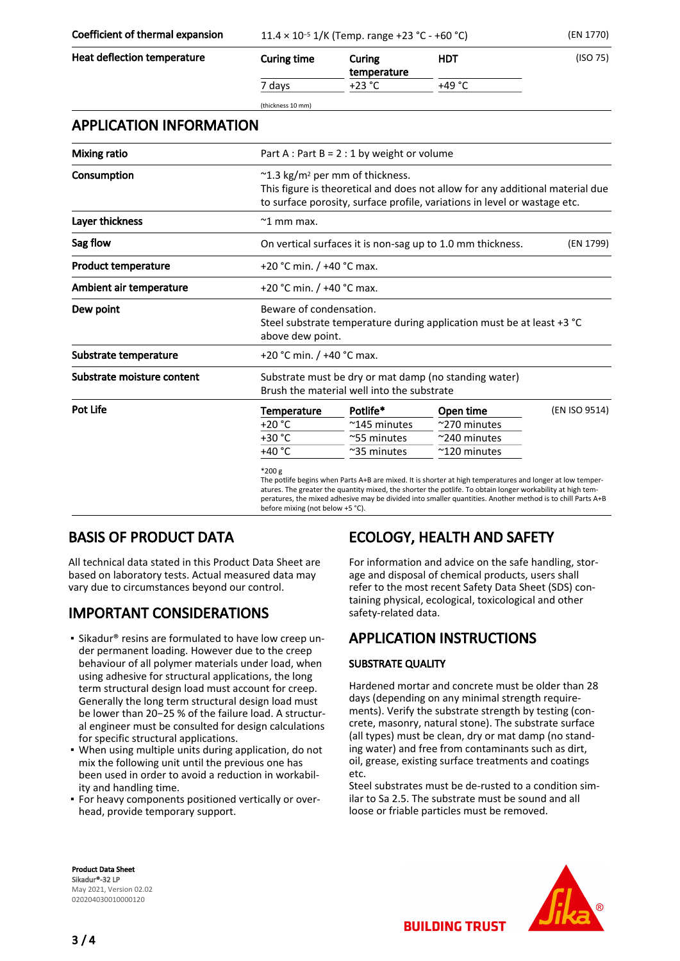Coefficient of thermal expansion  $11.4 \times 10^{-5}$  1/K (Temp. range +23 °C - +60 °C) (EN 1770)

| Heat deflection temperature    | <b>Curing time</b>                                                                                  | Curing<br>temperature                                                                                                                                                                                              | <b>HDT</b>                                                                                                                                                                                                                                                                                                                            | (ISO 75)      |  |  |  |  |
|--------------------------------|-----------------------------------------------------------------------------------------------------|--------------------------------------------------------------------------------------------------------------------------------------------------------------------------------------------------------------------|---------------------------------------------------------------------------------------------------------------------------------------------------------------------------------------------------------------------------------------------------------------------------------------------------------------------------------------|---------------|--|--|--|--|
|                                | 7 days                                                                                              | $+23 °C$                                                                                                                                                                                                           | +49 °C                                                                                                                                                                                                                                                                                                                                |               |  |  |  |  |
|                                | (thickness 10 mm)                                                                                   |                                                                                                                                                                                                                    |                                                                                                                                                                                                                                                                                                                                       |               |  |  |  |  |
| <b>APPLICATION INFORMATION</b> |                                                                                                     |                                                                                                                                                                                                                    |                                                                                                                                                                                                                                                                                                                                       |               |  |  |  |  |
| <b>Mixing ratio</b>            |                                                                                                     | Part A : Part B = $2:1$ by weight or volume                                                                                                                                                                        |                                                                                                                                                                                                                                                                                                                                       |               |  |  |  |  |
| Consumption                    |                                                                                                     | $\approx$ 1.3 kg/m <sup>2</sup> per mm of thickness.<br>This figure is theoretical and does not allow for any additional material due<br>to surface porosity, surface profile, variations in level or wastage etc. |                                                                                                                                                                                                                                                                                                                                       |               |  |  |  |  |
| Layer thickness                | $~^{\sim}$ 1 mm max.                                                                                |                                                                                                                                                                                                                    |                                                                                                                                                                                                                                                                                                                                       |               |  |  |  |  |
| Sag flow                       |                                                                                                     | On vertical surfaces it is non-sag up to 1.0 mm thickness.<br>(EN 1799)                                                                                                                                            |                                                                                                                                                                                                                                                                                                                                       |               |  |  |  |  |
| <b>Product temperature</b>     |                                                                                                     | +20 °C min. / +40 °C max.                                                                                                                                                                                          |                                                                                                                                                                                                                                                                                                                                       |               |  |  |  |  |
| Ambient air temperature        |                                                                                                     | +20 °C min. / +40 °C max.                                                                                                                                                                                          |                                                                                                                                                                                                                                                                                                                                       |               |  |  |  |  |
| Dew point                      |                                                                                                     | Beware of condensation.<br>Steel substrate temperature during application must be at least +3 °C<br>above dew point.                                                                                               |                                                                                                                                                                                                                                                                                                                                       |               |  |  |  |  |
| Substrate temperature          |                                                                                                     | +20 °C min. / +40 °C max.                                                                                                                                                                                          |                                                                                                                                                                                                                                                                                                                                       |               |  |  |  |  |
| Substrate moisture content     | Substrate must be dry or mat damp (no standing water)<br>Brush the material well into the substrate |                                                                                                                                                                                                                    |                                                                                                                                                                                                                                                                                                                                       |               |  |  |  |  |
| Pot Life                       | <b>Temperature</b>                                                                                  | Potlife*                                                                                                                                                                                                           | Open time                                                                                                                                                                                                                                                                                                                             | (EN ISO 9514) |  |  |  |  |
|                                | $+20 °C$                                                                                            | $^{\sim}$ 145 minutes                                                                                                                                                                                              | $\approx$ 270 minutes                                                                                                                                                                                                                                                                                                                 |               |  |  |  |  |
|                                | +30 °C                                                                                              | ~55 minutes                                                                                                                                                                                                        | $~\sim$ 240 minutes                                                                                                                                                                                                                                                                                                                   |               |  |  |  |  |
|                                | +40 °C                                                                                              | $~\sim$ 35 minutes                                                                                                                                                                                                 | ~120 minutes                                                                                                                                                                                                                                                                                                                          |               |  |  |  |  |
|                                | $*200 g$                                                                                            |                                                                                                                                                                                                                    | The potlife begins when Parts A+B are mixed. It is shorter at high temperatures and longer at low temper-<br>atures. The greater the quantity mixed, the shorter the potlife. To obtain longer workability at high tem-<br>peratures, the mixed adhesive may be divided into smaller quantities. Another method is to chill Parts A+B |               |  |  |  |  |

before mixing (not below +5 °C).

#### BASIS OF PRODUCT DATA

All technical data stated in this Product Data Sheet are based on laboratory tests. Actual measured data may vary due to circumstances beyond our control.

#### IMPORTANT CONSIDERATIONS

- **Examble 1** Sikadur® resins are formulated to have low creep under permanent loading. However due to the creep behaviour of all polymer materials under load, when using adhesive for structural applications, the long term structural design load must account for creep. Generally the long term structural design load must be lower than 20−25 % of the failure load. A structural engineer must be consulted for design calculations for specific structural applications.
- . When using multiple units during application, do not mix the following unit until the previous one has been used in order to avoid a reduction in workability and handling time.
- For heavy components positioned vertically or over-▪ head, provide temporary support.

## ECOLOGY, HEALTH AND SAFETY

For information and advice on the safe handling, storage and disposal of chemical products, users shall refer to the most recent Safety Data Sheet (SDS) containing physical, ecological, toxicological and other safety-related data.

#### APPLICATION INSTRUCTIONS

#### SUBSTRATE QUALITY

Hardened mortar and concrete must be older than 28 days (depending on any minimal strength requirements). Verify the substrate strength by testing (concrete, masonry, natural stone). The substrate surface (all types) must be clean, dry or mat damp (no standing water) and free from contaminants such as dirt, oil, grease, existing surface treatments and coatings etc.

Steel substrates must be de-rusted to a condition similar to Sa 2.5. The substrate must be sound and all loose or friable particles must be removed.

**BUILDING TRUST** 

Product Data Sheet Sikadur®-32 LP May 2021, Version 02.02 020204030010000120



3 / 4